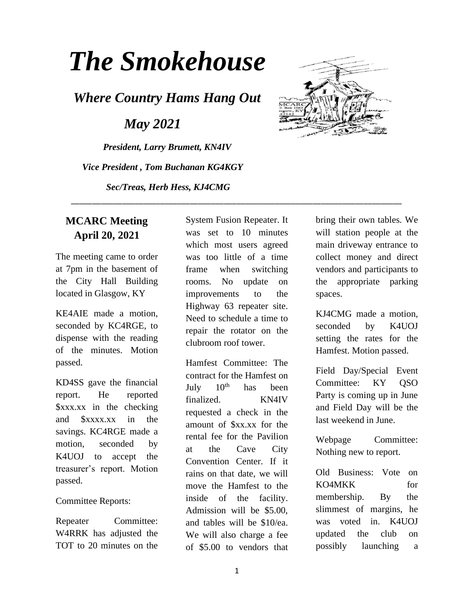# *The Smokehouse*

*Where Country Hams Hang Out*

 *May 2021*

*President, Larry Brumett, KN4IV Vice President , Tom Buchanan KG4KGY Sec/Treas, Herb Hess, KJ4CMG*



#### **MCARC Meeting April 20, 2021**

The meeting came to order at 7pm in the basement of the City Hall Building located in Glasgow, KY

KE4AIE made a motion, seconded by KC4RGE, to dispense with the reading of the minutes. Motion passed.

KD4SS gave the financial report. He reported \$xxx.xx in the checking and \$xxxx.xx in the savings. KC4RGE made a motion, seconded by K4UOJ to accept the treasurer's report. Motion passed.

#### Committee Reports:

Repeater Committee: W<sub>4</sub>RRK has adjusted the TOT to 20 minutes on the System Fusion Repeater. It was set to 10 minutes which most users agreed was too little of a time frame when switching rooms. No update on improvements to the Highway 63 repeater site. Need to schedule a time to repair the rotator on the clubroom roof tower.

\_\_\_\_\_\_\_\_\_\_\_\_\_\_\_\_\_\_\_\_\_\_\_\_\_\_\_\_\_\_\_\_\_\_\_\_\_\_\_\_\_\_\_\_\_\_\_\_\_\_\_\_\_\_\_\_\_\_\_\_\_\_\_\_\_\_\_\_\_\_\_\_\_\_\_\_\_\_

Hamfest Committee: The contract for the Hamfest on July  $10^{th}$  has been finalized. KN4IV requested a check in the amount of \$xx.xx for the rental fee for the Pavilion at the Cave City Convention Center. If it rains on that date, we will move the Hamfest to the inside of the facility. Admission will be \$5.00, and tables will be \$10/ea. We will also charge a fee of \$5.00 to vendors that bring their own tables. We will station people at the main driveway entrance to collect money and direct vendors and participants to the appropriate parking spaces.

KJ4CMG made a motion, seconded by K4UOJ setting the rates for the Hamfest. Motion passed.

Field Day/Special Event Committee: KY QSO Party is coming up in June and Field Day will be the last weekend in June.

Webpage Committee: Nothing new to report.

Old Business: Vote on KO4MKK for membership. By the slimmest of margins, he was voted in. K4UOJ updated the club on possibly launching a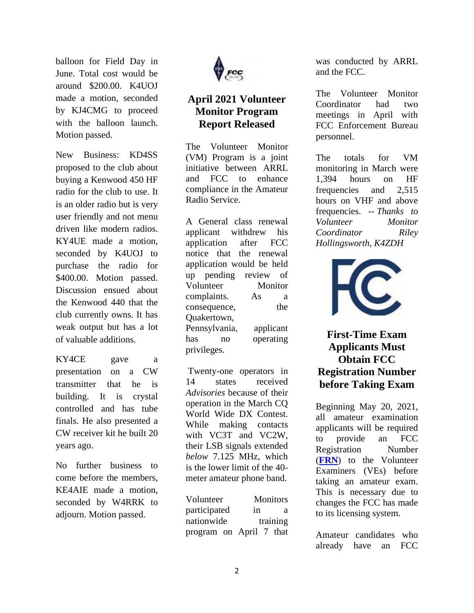balloon for Field Day in June. Total cost would be around \$200.00. K4UOJ made a motion, seconded by KJ4CMG to proceed with the balloon launch. Motion passed.

New Business: KD4SS proposed to the club about buying a Kenwood 450 HF radio for the club to use. It is an older radio but is very user friendly and not menu driven like modern radios. KY4UE made a motion, seconded by K4UOJ to purchase the radio for \$400.00. Motion passed. Discussion ensued about the Kenwood 440 that the club currently owns. It has weak output but has a lot of valuable additions.

KY4CE gave a presentation on a CW transmitter that he is building. It is crystal controlled and has tube finals. He also presented a CW receiver kit he built 20 years ago.

No further business to come before the members, KE4AIE made a motion, seconded by W4RRK to adjourn. Motion passed.



### **April 2021 Volunteer Monitor Program Report Released**

The Volunteer Monitor (VM) Program is a joint initiative between ARRL and FCC to enhance compliance in the Amateur Radio Service.

A General class renewal applicant withdrew his application after FCC notice that the renewal application would be held up pending review of Volunteer Monitor complaints. As a consequence, the Quakertown, Pennsylvania, applicant has no operating privileges.

Twenty-one operators in 14 states received *Advisories* because of their operation in the March CQ World Wide DX Contest. While making contacts with VC3T and VC2W, their LSB signals extended *below* 7.125 MHz, which is the lower limit of the 40 meter amateur phone band.

| Volunteer    | <b>Monitors</b>         |
|--------------|-------------------------|
| participated | in<br>а                 |
| nationwide   | training                |
|              | program on April 7 that |

was conducted by ARRL and the FCC.

The Volunteer Monitor Coordinator had two meetings in April with FCC Enforcement Bureau personnel.

The totals for VM monitoring in March were 1,394 hours on HF frequencies and 2,515 hours on VHF and above frequencies. -- *Thanks to Volunteer Monitor Coordinator Riley Hollingsworth, K4ZDH*



**First-Time Exam Applicants Must Obtain FCC Registration Number before Taking Exam**

Beginning May 20, 2021, all amateur examination applicants will be required to provide an FCC Registration Number (**[FRN](https://www.fcc.gov/wireless/support/universal-licensing-system-uls-resources/getting-fcc-registration-number-frn/)**) to the Volunteer Examiners (VEs) before taking an amateur exam. This is necessary due to changes the FCC has made to its licensing system.

Amateur candidates who already have an FCC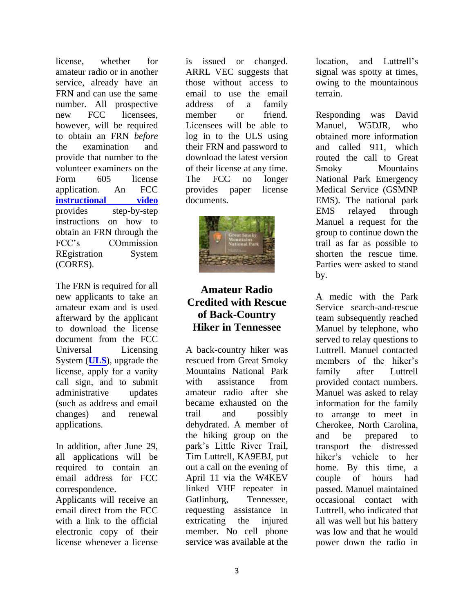license, whether for amateur radio or in another service, already have an FRN and can use the same number. All prospective new FCC licensees, however, will be required to obtain an FRN *before* the examination and provide that number to the volunteer examiners on the Form 605 license application. An FCC **[instructional video](https://www.fcc.gov/rofrn)** provides step-by-step instructions on how to obtain an FRN through the FCC's COmmission REgistration System (CORES).

The FRN is required for all new applicants to take an amateur exam and is used afterward by the applicant to download the license document from the FCC Universal Licensing System (**[ULS](https://www.fcc.gov/wireless/universal-licensing-system)**), upgrade the license, apply for a vanity call sign, and to submit administrative updates (such as address and email changes) and renewal applications.

In addition, after June 29, all applications will be required to contain an email address for FCC correspondence.

Applicants will receive an email direct from the FCC with a link to the official electronic copy of their license whenever a license

is issued or changed. ARRL VEC suggests that those without access to email to use the email address of a family member or friend. Licensees will be able to log in to the ULS using their FRN and password to download the latest version of their license at any time. The FCC no longer provides paper license documents.



## **Amateur Radio Credited with Rescue of Back-Country Hiker in Tennessee**

A back-country hiker was rescued from Great Smoky Mountains National Park with assistance from amateur radio after she became exhausted on the trail and possibly dehydrated. A member of the hiking group on the park's Little River Trail, Tim Luttrell, KA9EBJ, put out a call on the evening of April 11 via the W4KEV linked VHF repeater in Gatlinburg, Tennessee, requesting assistance in extricating the injured member. No cell phone service was available at the

location, and Luttrell's signal was spotty at times, owing to the mountainous terrain.

Responding was David Manuel, W5DJR, who obtained more information and called 911, which routed the call to Great Smoky Mountains National Park Emergency Medical Service (GSMNP EMS). The national park EMS relayed through Manuel a request for the group to continue down the trail as far as possible to shorten the rescue time. Parties were asked to stand by.

A medic with the Park Service search-and-rescue team subsequently reached Manuel by telephone, who served to relay questions to Luttrell. Manuel contacted members of the hiker's family after Luttrell provided contact numbers. Manuel was asked to relay information for the family to arrange to meet in Cherokee, North Carolina, and be prepared to transport the distressed hiker's vehicle to her home. By this time, a couple of hours had passed. Manuel maintained occasional contact with Luttrell, who indicated that all was well but his battery was low and that he would power down the radio in